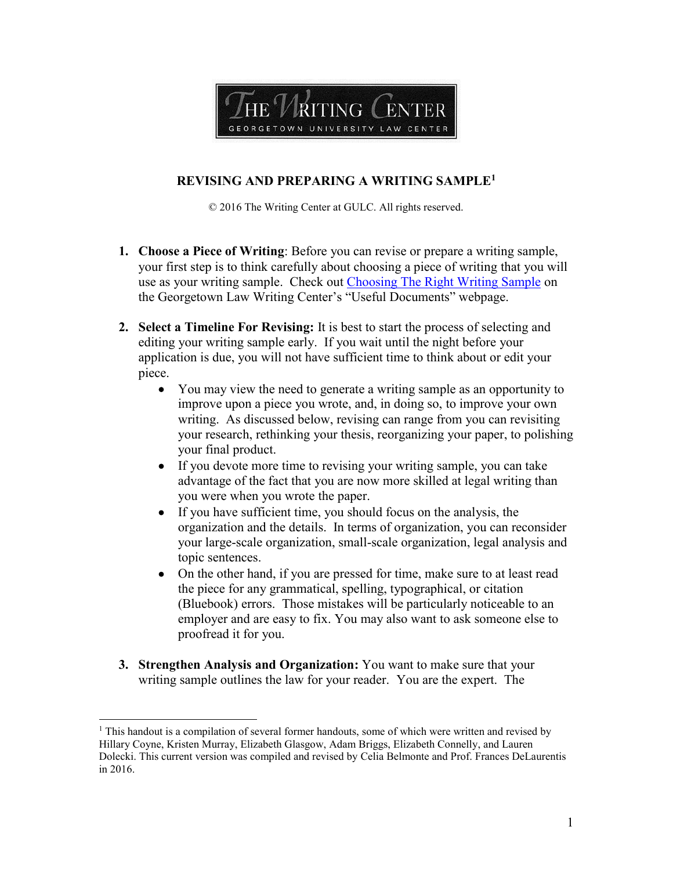

## **REVISING AND PREPARING A WRITING SAMPLE<sup>1</sup>**

© 2016 The Writing Center at GULC. All rights reserved.

- **1. Choose a Piece of Writing**: Before you can revise or prepare a writing sample, your first step is to think carefully about choosing a piece of writing that you will use as your writing sample.Check out [Choosing The Right Writing Sample](https://www.law.georgetown.edu/academics/academic-programs/legal-writing-scholarship/writing-center/usefuldocuments.cfm) on the Georgetown Law Writing Center's "Useful Documents" webpage.
- **2. Select a Timeline For Revising:** It is best to start the process of selecting and editing your writing sample early. If you wait until the night before your application is due, you will not have sufficient time to think about or edit your piece.
	- You may view the need to generate a writing sample as an opportunity to improve upon a piece you wrote, and, in doing so, to improve your own writing. As discussed below, revising can range from you can revisiting your research, rethinking your thesis, reorganizing your paper, to polishing your final product.
	- If you devote more time to revising your writing sample, you can take advantage of the fact that you are now more skilled at legal writing than you were when you wrote the paper.
	- If you have sufficient time, you should focus on the analysis, the organization and the details. In terms of organization, you can reconsider your large-scale organization, small-scale organization, legal analysis and topic sentences.
	- On the other hand, if you are pressed for time, make sure to at least read the piece for any grammatical, spelling, typographical, or citation (Bluebook) errors. Those mistakes will be particularly noticeable to an employer and are easy to fix. You may also want to ask someone else to proofread it for you.
- **3. Strengthen Analysis and Organization:** You want to make sure that your writing sample outlines the law for your reader. You are the expert. The

 $\overline{a}$ 

<sup>&</sup>lt;sup>1</sup> This handout is a compilation of several former handouts, some of which were written and revised by Hillary Coyne, Kristen Murray, Elizabeth Glasgow, Adam Briggs, Elizabeth Connelly, and Lauren Dolecki. This current version was compiled and revised by Celia Belmonte and Prof. Frances DeLaurentis in 2016.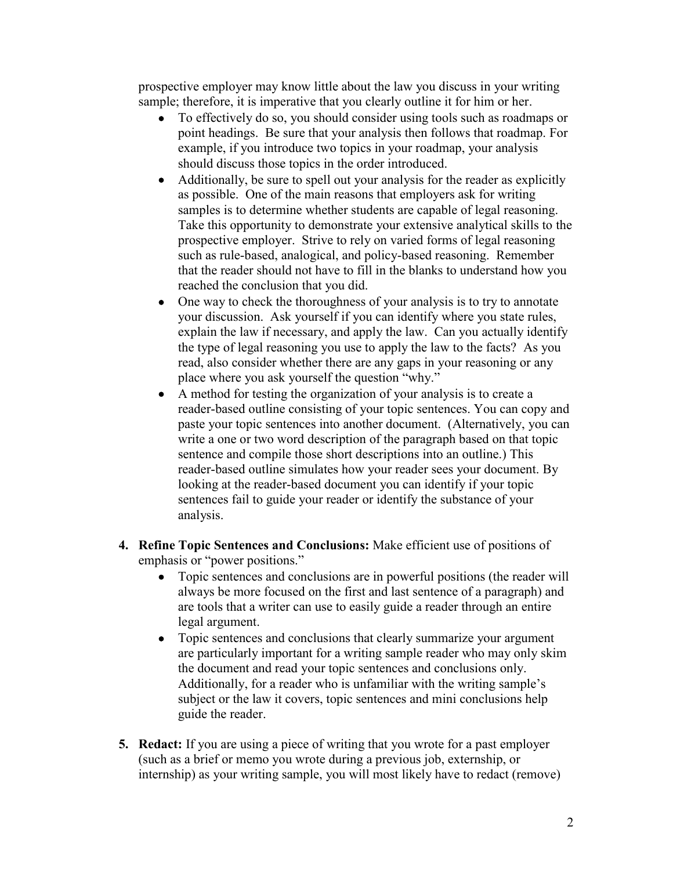prospective employer may know little about the law you discuss in your writing sample; therefore, it is imperative that you clearly outline it for him or her.

- To effectively do so, you should consider using tools such as roadmaps or point headings. Be sure that your analysis then follows that roadmap. For example, if you introduce two topics in your roadmap, your analysis should discuss those topics in the order introduced.
- Additionally, be sure to spell out your analysis for the reader as explicitly as possible. One of the main reasons that employers ask for writing samples is to determine whether students are capable of legal reasoning. Take this opportunity to demonstrate your extensive analytical skills to the prospective employer. Strive to rely on varied forms of legal reasoning such as rule-based, analogical, and policy-based reasoning. Remember that the reader should not have to fill in the blanks to understand how you reached the conclusion that you did.
- One way to check the thoroughness of your analysis is to try to annotate your discussion. Ask yourself if you can identify where you state rules, explain the law if necessary, and apply the law. Can you actually identify the type of legal reasoning you use to apply the law to the facts? As you read, also consider whether there are any gaps in your reasoning or any place where you ask yourself the question "why."
- A method for testing the organization of your analysis is to create a reader-based outline consisting of your topic sentences. You can copy and paste your topic sentences into another document. (Alternatively, you can write a one or two word description of the paragraph based on that topic sentence and compile those short descriptions into an outline.) This reader-based outline simulates how your reader sees your document. By looking at the reader-based document you can identify if your topic sentences fail to guide your reader or identify the substance of your analysis.
- **4. Refine Topic Sentences and Conclusions:** Make efficient use of positions of emphasis or "power positions."
	- Topic sentences and conclusions are in powerful positions (the reader will always be more focused on the first and last sentence of a paragraph) and are tools that a writer can use to easily guide a reader through an entire legal argument.
	- Topic sentences and conclusions that clearly summarize your argument are particularly important for a writing sample reader who may only skim the document and read your topic sentences and conclusions only. Additionally, for a reader who is unfamiliar with the writing sample's subject or the law it covers, topic sentences and mini conclusions help guide the reader.
- **5. Redact:** If you are using a piece of writing that you wrote for a past employer (such as a brief or memo you wrote during a previous job, externship, or internship) as your writing sample, you will most likely have to redact (remove)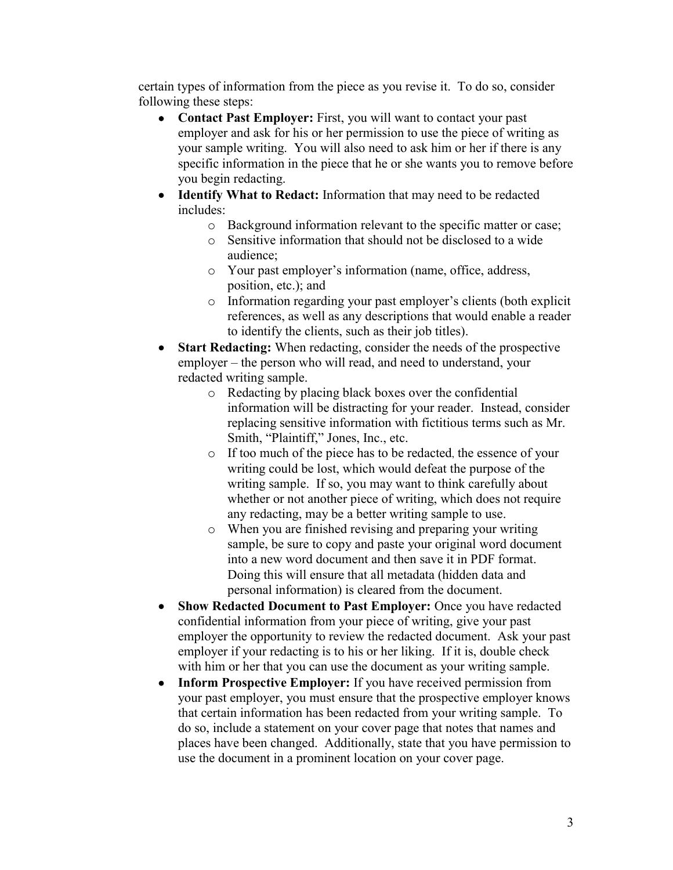certain types of information from the piece as you revise it. To do so, consider following these steps:

- **Contact Past Employer:** First, you will want to contact your past employer and ask for his or her permission to use the piece of writing as your sample writing. You will also need to ask him or her if there is any specific information in the piece that he or she wants you to remove before you begin redacting.
- **Identify What to Redact:** Information that may need to be redacted includes:
	- o Background information relevant to the specific matter or case;
	- o Sensitive information that should not be disclosed to a wide audience;
	- o Your past employer's information (name, office, address, position, etc.); and
	- o Information regarding your past employer's clients (both explicit references, as well as any descriptions that would enable a reader to identify the clients, such as their job titles).
- **Start Redacting:** When redacting, consider the needs of the prospective employer – the person who will read, and need to understand, your redacted writing sample.
	- o Redacting by placing black boxes over the confidential information will be distracting for your reader. Instead, consider replacing sensitive information with fictitious terms such as Mr. Smith, "Plaintiff," Jones, Inc., etc.
	- o If too much of the piece has to be redacted, the essence of your writing could be lost, which would defeat the purpose of the writing sample. If so, you may want to think carefully about whether or not another piece of writing, which does not require any redacting, may be a better writing sample to use.
	- o When you are finished revising and preparing your writing sample, be sure to copy and paste your original word document into a new word document and then save it in PDF format. Doing this will ensure that all metadata (hidden data and personal information) is cleared from the document.
- **Show Redacted Document to Past Employer:** Once you have redacted confidential information from your piece of writing, give your past employer the opportunity to review the redacted document. Ask your past employer if your redacting is to his or her liking. If it is, double check with him or her that you can use the document as your writing sample.
- **Inform Prospective Employer:** If you have received permission from your past employer, you must ensure that the prospective employer knows that certain information has been redacted from your writing sample. To do so, include a statement on your cover page that notes that names and places have been changed. Additionally, state that you have permission to use the document in a prominent location on your cover page.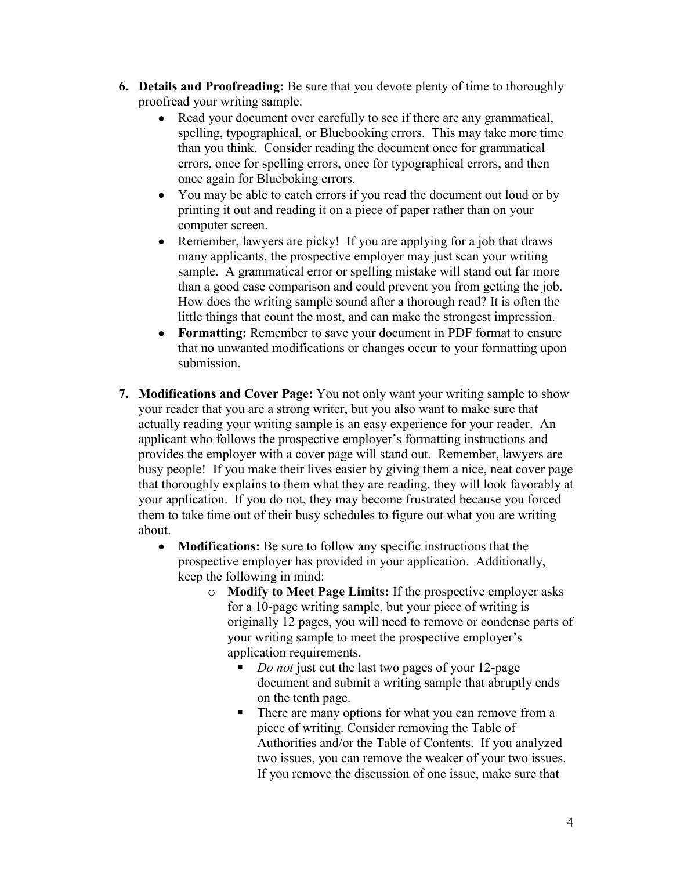- **6. Details and Proofreading:** Be sure that you devote plenty of time to thoroughly proofread your writing sample.
	- Read your document over carefully to see if there are any grammatical, spelling, typographical, or Bluebooking errors. This may take more time than you think. Consider reading the document once for grammatical errors, once for spelling errors, once for typographical errors, and then once again for Blueboking errors.
	- You may be able to catch errors if you read the document out loud or by printing it out and reading it on a piece of paper rather than on your computer screen.
	- Remember, lawyers are picky! If you are applying for a job that draws many applicants, the prospective employer may just scan your writing sample. A grammatical error or spelling mistake will stand out far more than a good case comparison and could prevent you from getting the job. How does the writing sample sound after a thorough read? It is often the little things that count the most, and can make the strongest impression.
	- **Formatting:** Remember to save your document in PDF format to ensure that no unwanted modifications or changes occur to your formatting upon submission.
- **7. Modifications and Cover Page:** You not only want your writing sample to show your reader that you are a strong writer, but you also want to make sure that actually reading your writing sample is an easy experience for your reader. An applicant who follows the prospective employer's formatting instructions and provides the employer with a cover page will stand out. Remember, lawyers are busy people! If you make their lives easier by giving them a nice, neat cover page that thoroughly explains to them what they are reading, they will look favorably at your application. If you do not, they may become frustrated because you forced them to take time out of their busy schedules to figure out what you are writing about.
	- **Modifications:** Be sure to follow any specific instructions that the prospective employer has provided in your application. Additionally, keep the following in mind:
		- o **Modify to Meet Page Limits:** If the prospective employer asks for a 10-page writing sample, but your piece of writing is originally 12 pages, you will need to remove or condense parts of your writing sample to meet the prospective employer's application requirements.
			- *Do not* just cut the last two pages of your 12-page document and submit a writing sample that abruptly ends on the tenth page.
			- There are many options for what you can remove from a piece of writing. Consider removing the Table of Authorities and/or the Table of Contents. If you analyzed two issues, you can remove the weaker of your two issues. If you remove the discussion of one issue, make sure that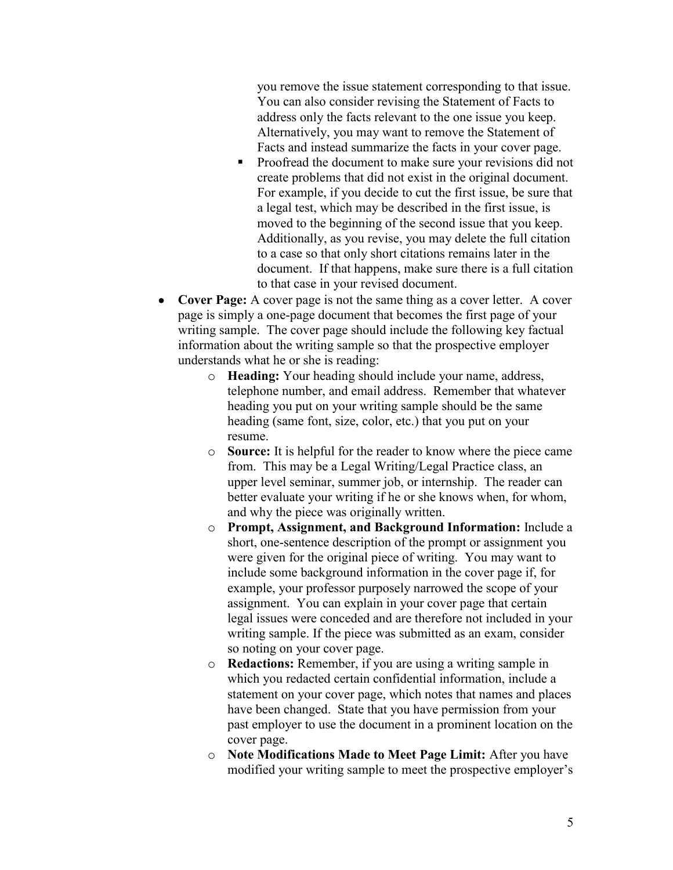you remove the issue statement corresponding to that issue. You can also consider revising the Statement of Facts to address only the facts relevant to the one issue you keep. Alternatively, you may want to remove the Statement of Facts and instead summarize the facts in your cover page.

- **Proofread the document to make sure your revisions did not** create problems that did not exist in the original document. For example, if you decide to cut the first issue, be sure that a legal test, which may be described in the first issue, is moved to the beginning of the second issue that you keep. Additionally, as you revise, you may delete the full citation to a case so that only short citations remains later in the document. If that happens, make sure there is a full citation to that case in your revised document.
- **Cover Page:** A cover page is not the same thing as a cover letter. A cover page is simply a one-page document that becomes the first page of your writing sample. The cover page should include the following key factual information about the writing sample so that the prospective employer understands what he or she is reading:
	- o **Heading:** Your heading should include your name, address, telephone number, and email address. Remember that whatever heading you put on your writing sample should be the same heading (same font, size, color, etc.) that you put on your resume.
	- o **Source:** It is helpful for the reader to know where the piece came from. This may be a Legal Writing/Legal Practice class, an upper level seminar, summer job, or internship. The reader can better evaluate your writing if he or she knows when, for whom, and why the piece was originally written.
	- o **Prompt, Assignment, and Background Information:** Include a short, one-sentence description of the prompt or assignment you were given for the original piece of writing. You may want to include some background information in the cover page if, for example, your professor purposely narrowed the scope of your assignment. You can explain in your cover page that certain legal issues were conceded and are therefore not included in your writing sample. If the piece was submitted as an exam, consider so noting on your cover page.
	- o **Redactions:** Remember, if you are using a writing sample in which you redacted certain confidential information, include a statement on your cover page, which notes that names and places have been changed. State that you have permission from your past employer to use the document in a prominent location on the cover page.
	- o **Note Modifications Made to Meet Page Limit:** After you have modified your writing sample to meet the prospective employer's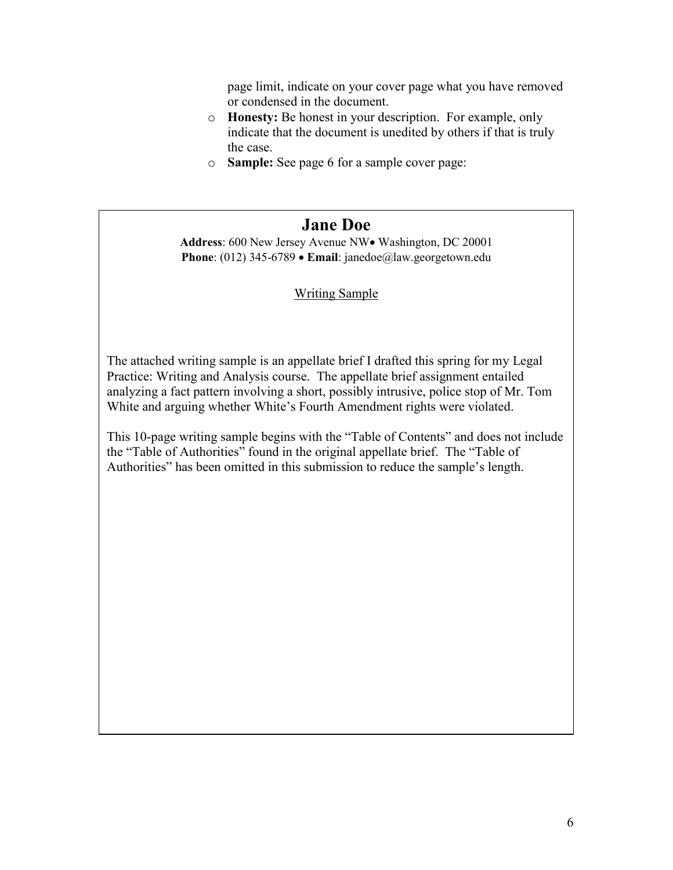page limit, indicate on your cover page what you have removed or condensed in the document.

- o **Honesty:** Be honest in your description. For example, only indicate that the document is unedited by others if that is truly the case.
- o **Sample:** See page 6 for a sample cover page:

## **Jane Doe**

Address: 600 New Jersey Avenue NW• Washington, DC 20001 **Phone**: (012) 345-6789 **Email**: janedoe@law.georgetown.edu

## Writing Sample

The attached writing sample is an appellate brief I drafted this spring for my Legal Practice: Writing and Analysis course. The appellate brief assignment entailed analyzing a fact pattern involving a short, possibly intrusive, police stop of Mr. Tom White and arguing whether White's Fourth Amendment rights were violated.

This 10-page writing sample begins with the "Table of Contents" and does not include the "Table of Authorities" found in the original appellate brief. The "Table of Authorities" has been omitted in this submission to reduce the sample's length.